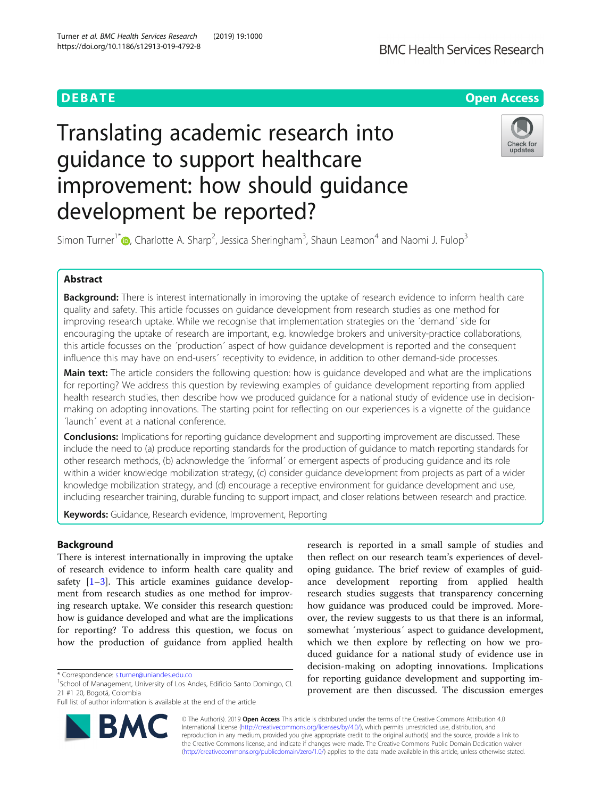# **DEBATE CONSTRUCTED ACCESS CONSTRUCTER ACCESS**

# Translating academic research into guidance to support healthcare improvement: how should guidance development be reported?



Simon Turner<sup>1\*</sup> (**D**[,](http://orcid.org/0000-0002-1801-8351) Charlotte A. Sharp<sup>2</sup>, Jessica Sheringham<sup>3</sup>, Shaun Leamon<sup>4</sup> and Naomi J. Fulop<sup>3</sup>

## Abstract

Background: There is interest internationally in improving the uptake of research evidence to inform health care quality and safety. This article focusses on guidance development from research studies as one method for improving research uptake. While we recognise that implementation strategies on the ´demand´ side for encouraging the uptake of research are important, e.g. knowledge brokers and university-practice collaborations, this article focusses on the ´production´ aspect of how guidance development is reported and the consequent influence this may have on end-users´ receptivity to evidence, in addition to other demand-side processes.

Main text: The article considers the following question: how is guidance developed and what are the implications for reporting? We address this question by reviewing examples of guidance development reporting from applied health research studies, then describe how we produced guidance for a national study of evidence use in decisionmaking on adopting innovations. The starting point for reflecting on our experiences is a vignette of the guidance ´launch´ event at a national conference.

**Conclusions:** Implications for reporting guidance development and supporting improvement are discussed. These include the need to (a) produce reporting standards for the production of guidance to match reporting standards for other research methods, (b) acknowledge the ´informal´ or emergent aspects of producing guidance and its role within a wider knowledge mobilization strategy, (c) consider guidance development from projects as part of a wider knowledge mobilization strategy, and (d) encourage a receptive environment for guidance development and use, including researcher training, durable funding to support impact, and closer relations between research and practice.

**Keywords:** Guidance, Research evidence, Improvement, Reporting

### Background

There is interest internationally in improving the uptake of research evidence to inform health care quality and safety  $[1-3]$  $[1-3]$  $[1-3]$  $[1-3]$ . This article examines guidance development from research studies as one method for improving research uptake. We consider this research question: how is guidance developed and what are the implications for reporting? To address this question, we focus on how the production of guidance from applied health

Full list of author information is available at the end of the article



research is reported in a small sample of studies and then reflect on our research team's experiences of developing guidance. The brief review of examples of guidance development reporting from applied health research studies suggests that transparency concerning how guidance was produced could be improved. Moreover, the review suggests to us that there is an informal, somewhat ´mysterious´ aspect to guidance development, which we then explore by reflecting on how we produced guidance for a national study of evidence use in decision-making on adopting innovations. Implications for reporting guidance development and supporting improvement are then discussed. The discussion emerges

© The Author(s). 2019 Open Access This article is distributed under the terms of the Creative Commons Attribution 4.0 International License [\(http://creativecommons.org/licenses/by/4.0/](http://creativecommons.org/licenses/by/4.0/)), which permits unrestricted use, distribution, and reproduction in any medium, provided you give appropriate credit to the original author(s) and the source, provide a link to the Creative Commons license, and indicate if changes were made. The Creative Commons Public Domain Dedication waiver [\(http://creativecommons.org/publicdomain/zero/1.0/](http://creativecommons.org/publicdomain/zero/1.0/)) applies to the data made available in this article, unless otherwise stated.

<sup>\*</sup> Correspondence: [s.turner@uniandes.edu.co](mailto:s.turner@uniandes.edu.co) <sup>1</sup>

<sup>&</sup>lt;sup>1</sup>School of Management, University of Los Andes, Edificio Santo Domingo, Cl. 21 #1 20, Bogotá, Colombia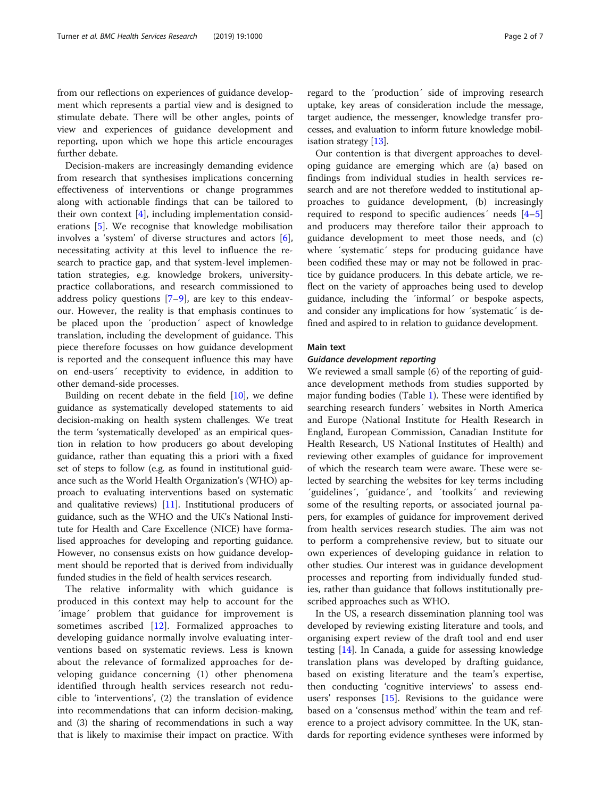from our reflections on experiences of guidance development which represents a partial view and is designed to stimulate debate. There will be other angles, points of view and experiences of guidance development and reporting, upon which we hope this article encourages further debate.

Decision-makers are increasingly demanding evidence from research that synthesises implications concerning effectiveness of interventions or change programmes along with actionable findings that can be tailored to their own context [\[4](#page-6-0)], including implementation considerations [[5](#page-6-0)]. We recognise that knowledge mobilisation involves a 'system' of diverse structures and actors [\[6](#page-6-0)], necessitating activity at this level to influence the research to practice gap, and that system-level implementation strategies, e.g. knowledge brokers, universitypractice collaborations, and research commissioned to address policy questions  $[7-9]$  $[7-9]$  $[7-9]$  $[7-9]$ , are key to this endeavour. However, the reality is that emphasis continues to be placed upon the ´production´ aspect of knowledge translation, including the development of guidance. This piece therefore focusses on how guidance development is reported and the consequent influence this may have on end-users´ receptivity to evidence, in addition to other demand-side processes.

Building on recent debate in the field  $[10]$  $[10]$ , we define guidance as systematically developed statements to aid decision-making on health system challenges. We treat the term 'systematically developed' as an empirical question in relation to how producers go about developing guidance, rather than equating this a priori with a fixed set of steps to follow (e.g. as found in institutional guidance such as the World Health Organization's (WHO) approach to evaluating interventions based on systematic and qualitative reviews) [[11](#page-6-0)]. Institutional producers of guidance, such as the WHO and the UK's National Institute for Health and Care Excellence (NICE) have formalised approaches for developing and reporting guidance. However, no consensus exists on how guidance development should be reported that is derived from individually funded studies in the field of health services research.

The relative informality with which guidance is produced in this context may help to account for the ´image´ problem that guidance for improvement is sometimes ascribed [[12\]](#page-6-0). Formalized approaches to developing guidance normally involve evaluating interventions based on systematic reviews. Less is known about the relevance of formalized approaches for developing guidance concerning (1) other phenomena identified through health services research not reducible to 'interventions', (2) the translation of evidence into recommendations that can inform decision-making, and (3) the sharing of recommendations in such a way that is likely to maximise their impact on practice. With regard to the ´production´ side of improving research uptake, key areas of consideration include the message, target audience, the messenger, knowledge transfer processes, and evaluation to inform future knowledge mobil-isation strategy [\[13](#page-6-0)].

Our contention is that divergent approaches to developing guidance are emerging which are (a) based on findings from individual studies in health services research and are not therefore wedded to institutional approaches to guidance development, (b) increasingly required to respond to specific audiences' needs  $[4-5]$  $[4-5]$  $[4-5]$  $[4-5]$  $[4-5]$ and producers may therefore tailor their approach to guidance development to meet those needs, and (c) where ´systematic´ steps for producing guidance have been codified these may or may not be followed in practice by guidance producers. In this debate article, we reflect on the variety of approaches being used to develop guidance, including the ´informal´ or bespoke aspects, and consider any implications for how ´systematic´ is defined and aspired to in relation to guidance development.

#### Main text

#### Guidance development reporting

We reviewed a small sample (6) of the reporting of guidance development methods from studies supported by major funding bodies (Table [1](#page-2-0)). These were identified by searching research funders´ websites in North America and Europe (National Institute for Health Research in England, European Commission, Canadian Institute for Health Research, US National Institutes of Health) and reviewing other examples of guidance for improvement of which the research team were aware. These were selected by searching the websites for key terms including ´guidelines´, ´guidance´, and ´toolkits´ and reviewing some of the resulting reports, or associated journal papers, for examples of guidance for improvement derived from health services research studies. The aim was not to perform a comprehensive review, but to situate our own experiences of developing guidance in relation to other studies. Our interest was in guidance development processes and reporting from individually funded studies, rather than guidance that follows institutionally prescribed approaches such as WHO.

In the US, a research dissemination planning tool was developed by reviewing existing literature and tools, and organising expert review of the draft tool and end user testing [[14](#page-6-0)]. In Canada, a guide for assessing knowledge translation plans was developed by drafting guidance, based on existing literature and the team's expertise, then conducting 'cognitive interviews' to assess endusers' responses [\[15](#page-6-0)]. Revisions to the guidance were based on a 'consensus method' within the team and reference to a project advisory committee. In the UK, standards for reporting evidence syntheses were informed by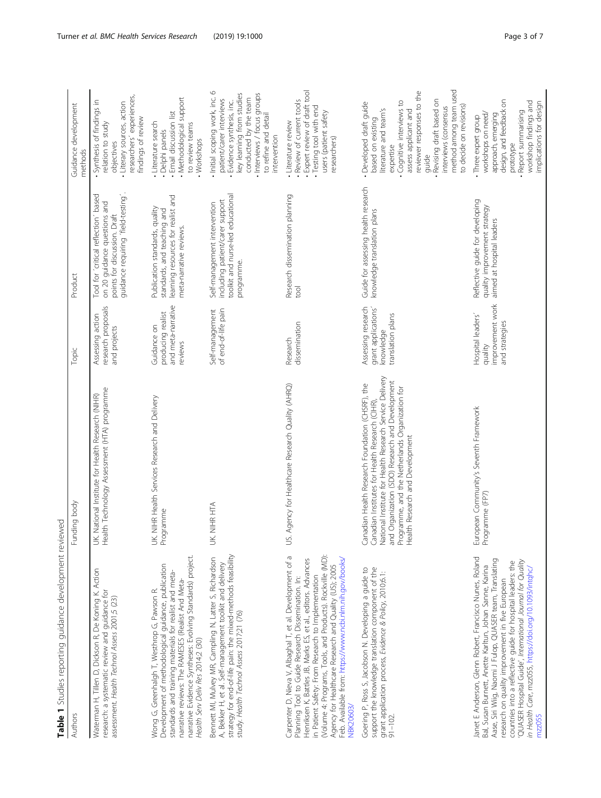<span id="page-2-0"></span>

| Table 1 Studies reporting guidance development reviewed                                                                                                                                                                                                                                                                                                                                                                               |                                                                                                                                                                                                                                                                                                         |                                                                             |                                                                                                                                             |                                                                                                                                                                                                                                                                                          |
|---------------------------------------------------------------------------------------------------------------------------------------------------------------------------------------------------------------------------------------------------------------------------------------------------------------------------------------------------------------------------------------------------------------------------------------|---------------------------------------------------------------------------------------------------------------------------------------------------------------------------------------------------------------------------------------------------------------------------------------------------------|-----------------------------------------------------------------------------|---------------------------------------------------------------------------------------------------------------------------------------------|------------------------------------------------------------------------------------------------------------------------------------------------------------------------------------------------------------------------------------------------------------------------------------------|
| Authors                                                                                                                                                                                                                                                                                                                                                                                                                               | Funding body                                                                                                                                                                                                                                                                                            | Topic                                                                       | Product                                                                                                                                     | Guidance development<br>methods                                                                                                                                                                                                                                                          |
| Waterman H, Tillen D, Dickson R, De Koning K. Action<br>research: a systematic review and guidance for<br>assessment. Health Technol Assess 2001;5 (23)                                                                                                                                                                                                                                                                               | Health Technology Assessment (HTA) programme<br>UK. National Institute for Health Research (NIHR)                                                                                                                                                                                                       | research proposals<br>Assessing action<br>and projects                      | guidance requiring 'field-testing'.<br>Tool for 'critical reflection' based<br>on 20 guidance questions and<br>points for discussion. Draft | researchers' experiences,<br>Synthesis of findings in<br>· Literary sources, action<br>findings of review<br>relation to study<br>objectives                                                                                                                                             |
| narrative Evidence Syntheses: Evolving Standards) project.<br>Development of methodological guidance, publication<br>standards and training materials for realist and meta-<br>narrative reviews: The RAMESES (Realist And Meta-<br>Wong G, Greenhalgh T, Westhrop G, Pawson R.<br>Health Serv Deliv Res 2014;2 (30)                                                                                                                  | UK. NIHR Health Services Research and Delivery<br>Programme                                                                                                                                                                                                                                             | and meta-narrative<br>producing realist<br>Guidance on<br>eviews            | learning resources for realist and<br>Publication standards, quality<br>standards, and teaching and<br>meta-narrative reviews.              | . Methodological support<br>· Email discussion list<br>· Literature search<br>to review teams<br>· Delphi panels<br>· Workshops                                                                                                                                                          |
| strategy for end-of-life pain: the mixed-methods feasibility<br>Bennett MI, Mulvey MR, Campling N, Latter S, Richardson<br>A, Bekker H, et al. Self-management toolkit and delivery<br>study. Health Technol Assess 2017;21 (76)                                                                                                                                                                                                      | UK, NIHR HTA                                                                                                                                                                                                                                                                                            | of end-of-life pain<br>Self-management                                      | toolkit and nurse-led educational<br>including patient/carer support<br>Self-management intervention<br>programme.                          | · Initial scoping work, inc. 6<br>• Interviews / focus groups<br>key learning from studies<br>conducted by the team<br>patient/carer interviews<br>Evidence synthesis, inc.<br>to refine and detail<br>intervention                                                                      |
| (Volume 4: Programs, Tools, and Products). Rockville (MD):<br>Carpenter D, Nieva V, Albaghal T, et al. Development of a<br>Feb. Available from: https://www.ncbi.nlm.nih.gov/books/<br>Henriksen K, Battles JB, Marks ES, et al., editors. Advances<br>Agency for Healthcare Research and Quality (US); 2005<br>in Patient Safety: From Research to Implementation<br>Planning Tool to Guide Research Dissemination. In:<br>NBK20603/ | JS. Agency for Healthcare Research Quality (AHRQ)                                                                                                                                                                                                                                                       | dissemination<br>Research                                                   | Research dissemination planning<br>$\overline{5}$                                                                                           | - Expert review of draft tool<br>. Review of current tools<br>· Testing tool with end<br>users (patient safety<br>· Literature review<br>researchers)                                                                                                                                    |
| Goering P, Ross S, Jacobson N. Developing a guide to<br>support the knowledge translation component of the<br>grant application process, Evidence & Policy, 2010;6.1:<br>$91 - 102$                                                                                                                                                                                                                                                   | National Institute for Health Research Service Delivery<br>and Organization (SDO) Research and Development<br>Canadian Health Research Foundation (CHSRF), the<br>Programme, and the Netherlands Organization for<br>Canadian Institutes for Health Research (CIHR),<br>Health Research and Development | Assessing research<br>grant applications'<br>translation plans<br>knowledge | Guide for assessing health research<br>knowledge translation plans                                                                          | method among team used<br>reviewer responses to the<br>. Revising draft based on<br>· Cognitive interviews to<br>· Developed draft guide<br>to decide on revisions)<br>interviews (consensus<br>literature and team's<br>assess applicant and<br>based on existing<br>expertise<br>guide |
| Janet E Anderson, Glenn Robert, Francisco Nunes, Roland<br>Aase, Siri Wiig, Naomi J Fulop, QUASER team, Translating<br>'QUASER Hospital Guide', International Journal for Quality<br>countries into a reflective guide for hospital leaders: the<br>Bal, Susan Burnett, Anette Karltun, Johan Sanne, Karina<br>in Health Care, mz2055, https://doi.org/10.1093/intqhc/<br>research on quality improvement in five European<br>mz2055  | European Community's Seventh Framework<br>Programme (FP7)                                                                                                                                                                                                                                               | improvement work<br>Hospital leaders'<br>and strategies<br>quality          | Reflective guide for developing<br>quality improvement strategy<br>aimed at hospital leaders                                                | design, and feedback on<br>workshop findings and<br>implications for design<br>Report summarising<br>workshops on need/<br>approach, emerging<br>· Three expert group<br>prototype                                                                                                       |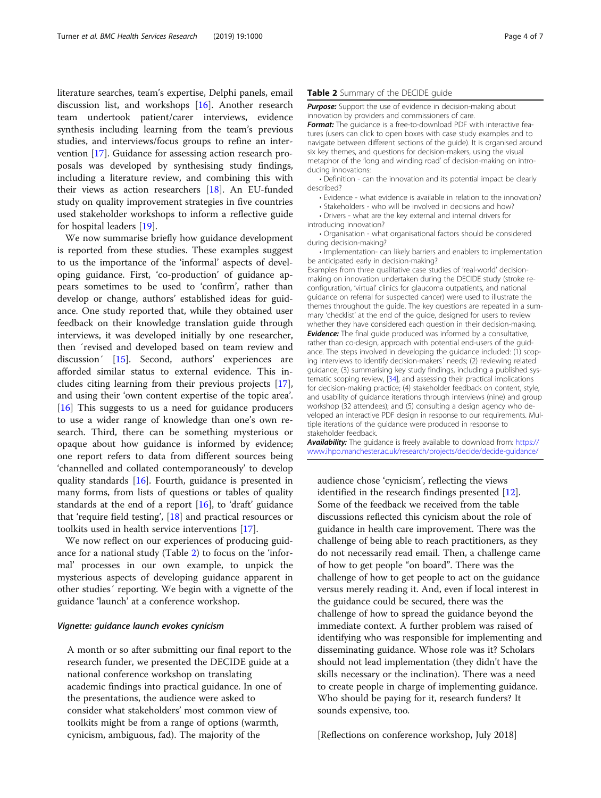<span id="page-3-0"></span>literature searches, team's expertise, Delphi panels, email discussion list, and workshops [\[16](#page-6-0)]. Another research team undertook patient/carer interviews, evidence synthesis including learning from the team's previous studies, and interviews/focus groups to refine an intervention [\[17](#page-6-0)]. Guidance for assessing action research proposals was developed by synthesising study findings, including a literature review, and combining this with their views as action researchers [\[18](#page-6-0)]. An EU-funded study on quality improvement strategies in five countries used stakeholder workshops to inform a reflective guide for hospital leaders [[19\]](#page-6-0).

We now summarise briefly how guidance development is reported from these studies. These examples suggest to us the importance of the 'informal' aspects of developing guidance. First, 'co-production' of guidance appears sometimes to be used to 'confirm', rather than develop or change, authors' established ideas for guidance. One study reported that, while they obtained user feedback on their knowledge translation guide through interviews, it was developed initially by one researcher, then ´revised and developed based on team review and discussion´ [[15](#page-6-0)]. Second, authors' experiences are afforded similar status to external evidence. This includes citing learning from their previous projects [\[17](#page-6-0)], and using their 'own content expertise of the topic area'. [[16\]](#page-6-0) This suggests to us a need for guidance producers to use a wider range of knowledge than one's own research. Third, there can be something mysterious or opaque about how guidance is informed by evidence; one report refers to data from different sources being 'channelled and collated contemporaneously' to develop quality standards [[16\]](#page-6-0). Fourth, guidance is presented in many forms, from lists of questions or tables of quality standards at the end of a report [[16\]](#page-6-0), to 'draft' guidance that 'require field testing', [\[18](#page-6-0)] and practical resources or toolkits used in health service interventions [[17\]](#page-6-0).

We now reflect on our experiences of producing guidance for a national study (Table 2) to focus on the 'informal' processes in our own example, to unpick the mysterious aspects of developing guidance apparent in other studies´ reporting. We begin with a vignette of the guidance 'launch' at a conference workshop.

#### Vignette: guidance launch evokes cynicism

A month or so after submitting our final report to the research funder, we presented the DECIDE guide at a national conference workshop on translating academic findings into practical guidance. In one of the presentations, the audience were asked to consider what stakeholders' most common view of toolkits might be from a range of options (warmth, cynicism, ambiguous, fad). The majority of the

#### Table 2 Summary of the DECIDE guide

**Purpose:** Support the use of evidence in decision-making about innovation by providers and commissioners of care.

**Format:** The quidance is a free-to-download PDF with interactive features (users can click to open boxes with case study examples and to navigate between different sections of the guide). It is organised around six key themes, and questions for decision-makers, using the visual metaphor of the 'long and winding road' of decision-making on introducing innovations:

• Definition - can the innovation and its potential impact be clearly described?

• Evidence - what evidence is available in relation to the innovation?

• Stakeholders - who will be involved in decisions and how?

• Drivers - what are the key external and internal drivers for

introducing innovation? • Organisation - what organisational factors should be considered

during decision-making?

• Implementation- can likely barriers and enablers to implementation be anticipated early in decision-making?

Examples from three qualitative case studies of 'real-world' decisionmaking on innovation undertaken during the DECIDE study (stroke reconfiguration, 'virtual' clinics for glaucoma outpatients, and national guidance on referral for suspected cancer) were used to illustrate the themes throughout the guide. The key questions are repeated in a summary 'checklist' at the end of the guide, designed for users to review whether they have considered each question in their decision-making. **Evidence:** The final guide produced was informed by a consultative, rather than co-design, approach with potential end-users of the guidance. The steps involved in developing the guidance included: (1) scoping interviews to identify decision-makers´ needs; (2) reviewing related guidance; (3) summarising key study findings, including a published systematic scoping review, [\[34\]](#page-6-0), and assessing their practical implications for decision-making practice; (4) stakeholder feedback on content, style, and usability of guidance iterations through interviews (nine) and group workshop (32 attendees); and (5) consulting a design agency who developed an interactive PDF design in response to our requirements. Multiple iterations of the guidance were produced in response to stakeholder feedback.

**Availability:** The guidance is freely available to download from: [https://](https://www.ihpo.manchester.ac.uk/research/projects/decide/decide-guidance/) [www.ihpo.manchester.ac.uk/research/projects/decide/decide-guidance/](https://www.ihpo.manchester.ac.uk/research/projects/decide/decide-guidance/)

audience chose 'cynicism', reflecting the views identified in the research findings presented [[12\]](#page-6-0). Some of the feedback we received from the table discussions reflected this cynicism about the role of guidance in health care improvement. There was the challenge of being able to reach practitioners, as they do not necessarily read email. Then, a challenge came of how to get people "on board". There was the challenge of how to get people to act on the guidance versus merely reading it. And, even if local interest in the guidance could be secured, there was the challenge of how to spread the guidance beyond the immediate context. A further problem was raised of identifying who was responsible for implementing and disseminating guidance. Whose role was it? Scholars should not lead implementation (they didn't have the skills necessary or the inclination). There was a need to create people in charge of implementing guidance. Who should be paying for it, research funders? It sounds expensive, too.

[Reflections on conference workshop, July 2018]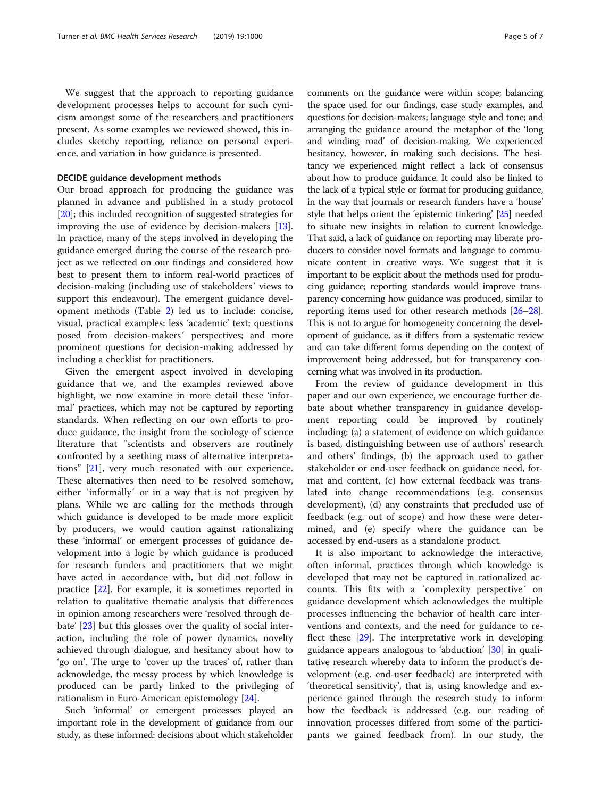We suggest that the approach to reporting guidance development processes helps to account for such cynicism amongst some of the researchers and practitioners present. As some examples we reviewed showed, this includes sketchy reporting, reliance on personal experi-

ence, and variation in how guidance is presented.

#### DECIDE guidance development methods

Our broad approach for producing the guidance was planned in advance and published in a study protocol [[20\]](#page-6-0); this included recognition of suggested strategies for improving the use of evidence by decision-makers [\[13](#page-6-0)]. In practice, many of the steps involved in developing the guidance emerged during the course of the research project as we reflected on our findings and considered how best to present them to inform real-world practices of decision-making (including use of stakeholders´ views to support this endeavour). The emergent guidance development methods (Table [2](#page-3-0)) led us to include: concise, visual, practical examples; less 'academic' text; questions posed from decision-makers´ perspectives; and more prominent questions for decision-making addressed by including a checklist for practitioners.

Given the emergent aspect involved in developing guidance that we, and the examples reviewed above highlight, we now examine in more detail these 'informal' practices, which may not be captured by reporting standards. When reflecting on our own efforts to produce guidance, the insight from the sociology of science literature that "scientists and observers are routinely confronted by a seething mass of alternative interpretations" [\[21](#page-6-0)], very much resonated with our experience. These alternatives then need to be resolved somehow, either ´informally´ or in a way that is not pregiven by plans. While we are calling for the methods through which guidance is developed to be made more explicit by producers, we would caution against rationalizing these 'informal' or emergent processes of guidance development into a logic by which guidance is produced for research funders and practitioners that we might have acted in accordance with, but did not follow in practice [\[22](#page-6-0)]. For example, it is sometimes reported in relation to qualitative thematic analysis that differences in opinion among researchers were 'resolved through debate' [[23\]](#page-6-0) but this glosses over the quality of social interaction, including the role of power dynamics, novelty achieved through dialogue, and hesitancy about how to 'go on'. The urge to 'cover up the traces' of, rather than acknowledge, the messy process by which knowledge is produced can be partly linked to the privileging of rationalism in Euro-American epistemology [\[24](#page-6-0)].

Such 'informal' or emergent processes played an important role in the development of guidance from our study, as these informed: decisions about which stakeholder

comments on the guidance were within scope; balancing the space used for our findings, case study examples, and questions for decision-makers; language style and tone; and arranging the guidance around the metaphor of the 'long and winding road' of decision-making. We experienced hesitancy, however, in making such decisions. The hesitancy we experienced might reflect a lack of consensus about how to produce guidance. It could also be linked to the lack of a typical style or format for producing guidance, in the way that journals or research funders have a 'house' style that helps orient the 'epistemic tinkering' [[25](#page-6-0)] needed to situate new insights in relation to current knowledge. That said, a lack of guidance on reporting may liberate producers to consider novel formats and language to communicate content in creative ways. We suggest that it is important to be explicit about the methods used for producing guidance; reporting standards would improve transparency concerning how guidance was produced, similar to reporting items used for other research methods [\[26](#page-6-0)–[28](#page-6-0)]. This is not to argue for homogeneity concerning the development of guidance, as it differs from a systematic review and can take different forms depending on the context of improvement being addressed, but for transparency concerning what was involved in its production.

From the review of guidance development in this paper and our own experience, we encourage further debate about whether transparency in guidance development reporting could be improved by routinely including: (a) a statement of evidence on which guidance is based, distinguishing between use of authors' research and others' findings, (b) the approach used to gather stakeholder or end-user feedback on guidance need, format and content, (c) how external feedback was translated into change recommendations (e.g. consensus development), (d) any constraints that precluded use of feedback (e.g. out of scope) and how these were determined, and (e) specify where the guidance can be accessed by end-users as a standalone product.

It is also important to acknowledge the interactive, often informal, practices through which knowledge is developed that may not be captured in rationalized accounts. This fits with a ´complexity perspective´ on guidance development which acknowledges the multiple processes influencing the behavior of health care interventions and contexts, and the need for guidance to reflect these [[29\]](#page-6-0). The interpretative work in developing guidance appears analogous to 'abduction' [[30\]](#page-6-0) in qualitative research whereby data to inform the product's development (e.g. end-user feedback) are interpreted with 'theoretical sensitivity', that is, using knowledge and experience gained through the research study to inform how the feedback is addressed (e.g. our reading of innovation processes differed from some of the participants we gained feedback from). In our study, the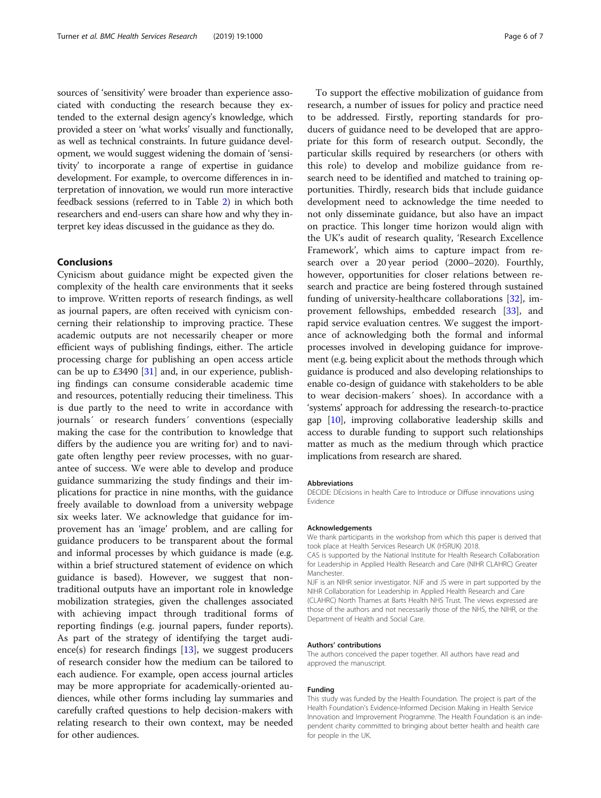sources of 'sensitivity' were broader than experience associated with conducting the research because they extended to the external design agency's knowledge, which provided a steer on 'what works' visually and functionally, as well as technical constraints. In future guidance development, we would suggest widening the domain of 'sensitivity' to incorporate a range of expertise in guidance development. For example, to overcome differences in interpretation of innovation, we would run more interactive feedback sessions (referred to in Table [2](#page-3-0)) in which both researchers and end-users can share how and why they interpret key ideas discussed in the guidance as they do.

#### Conclusions

Cynicism about guidance might be expected given the complexity of the health care environments that it seeks to improve. Written reports of research findings, as well as journal papers, are often received with cynicism concerning their relationship to improving practice. These academic outputs are not necessarily cheaper or more efficient ways of publishing findings, either. The article processing charge for publishing an open access article can be up to  $£3490$  [[31\]](#page-6-0) and, in our experience, publishing findings can consume considerable academic time and resources, potentially reducing their timeliness. This is due partly to the need to write in accordance with journals´ or research funders´ conventions (especially making the case for the contribution to knowledge that differs by the audience you are writing for) and to navigate often lengthy peer review processes, with no guarantee of success. We were able to develop and produce guidance summarizing the study findings and their implications for practice in nine months, with the guidance freely available to download from a university webpage six weeks later. We acknowledge that guidance for improvement has an 'image' problem, and are calling for guidance producers to be transparent about the formal and informal processes by which guidance is made (e.g. within a brief structured statement of evidence on which guidance is based). However, we suggest that nontraditional outputs have an important role in knowledge mobilization strategies, given the challenges associated with achieving impact through traditional forms of reporting findings (e.g. journal papers, funder reports). As part of the strategy of identifying the target audience(s) for research findings [\[13\]](#page-6-0), we suggest producers of research consider how the medium can be tailored to each audience. For example, open access journal articles may be more appropriate for academically-oriented audiences, while other forms including lay summaries and carefully crafted questions to help decision-makers with relating research to their own context, may be needed for other audiences.

To support the effective mobilization of guidance from research, a number of issues for policy and practice need to be addressed. Firstly, reporting standards for producers of guidance need to be developed that are appropriate for this form of research output. Secondly, the particular skills required by researchers (or others with this role) to develop and mobilize guidance from research need to be identified and matched to training opportunities. Thirdly, research bids that include guidance development need to acknowledge the time needed to not only disseminate guidance, but also have an impact on practice. This longer time horizon would align with the UK's audit of research quality, 'Research Excellence Framework', which aims to capture impact from research over a 20 year period (2000–2020). Fourthly, however, opportunities for closer relations between research and practice are being fostered through sustained funding of university-healthcare collaborations [\[32](#page-6-0)], improvement fellowships, embedded research [[33\]](#page-6-0), and rapid service evaluation centres. We suggest the importance of acknowledging both the formal and informal processes involved in developing guidance for improvement (e.g. being explicit about the methods through which guidance is produced and also developing relationships to enable co-design of guidance with stakeholders to be able to wear decision-makers´ shoes). In accordance with a 'systems' approach for addressing the research-to-practice gap [[10](#page-6-0)], improving collaborative leadership skills and access to durable funding to support such relationships matter as much as the medium through which practice implications from research are shared.

#### Abbreviations

DECIDE: DEcisions in health Care to Introduce or Diffuse innovations using Evidence

#### Acknowledgements

We thank participants in the workshop from which this paper is derived that took place at Health Services Research UK (HSRUK) 2018.

CAS is supported by the National Institute for Health Research Collaboration for Leadership in Applied Health Research and Care (NIHR CLAHRC) Greater Manchester.

NJF is an NIHR senior investigator. NJF and JS were in part supported by the NIHR Collaboration for Leadership in Applied Health Research and Care (CLAHRC) North Thames at Barts Health NHS Trust. The views expressed are those of the authors and not necessarily those of the NHS, the NIHR, or the Department of Health and Social Care.

#### Authors' contributions

The authors conceived the paper together. All authors have read and approved the manuscript.

#### Funding

This study was funded by the Health Foundation. The project is part of the Health Foundation's Evidence-Informed Decision Making in Health Service Innovation and Improvement Programme. The Health Foundation is an independent charity committed to bringing about better health and health care for people in the UK.